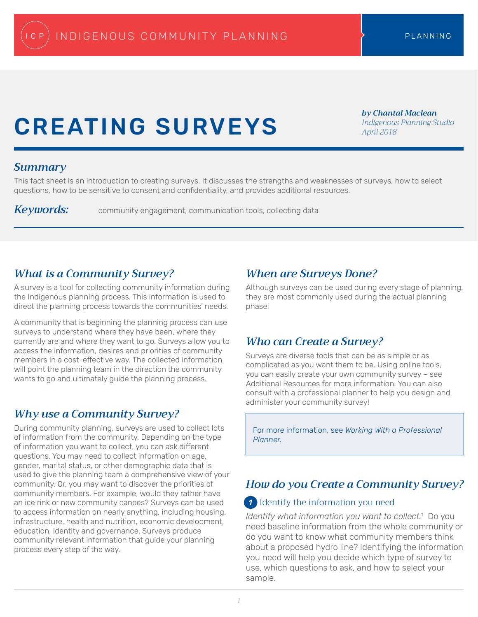# CREATING SURVEYS

*by Chantal Maclean Indigenous Planning Studio April 2018*

## *Summary*

This fact sheet is an introduction to creating surveys. It discusses the strengths and weaknesses of surveys, how to select questions, how to be sensitive to consent and confidentiality, and provides additional resources.

*Keywords:* community engagement, communication tools, collecting data

# *What is a Community Survey?*

A survey is a tool for collecting community information during the Indigenous planning process. This information is used to direct the planning process towards the communities' needs.

A community that is beginning the planning process can use surveys to understand where they have been, where they currently are and where they want to go. Surveys allow you to access the information, desires and priorities of community members in a cost-effective way. The collected information will point the planning team in the direction the community wants to go and ultimately guide the planning process.

# *Why use a Community Survey?*

During community planning, surveys are used to collect lots of information from the community. Depending on the type of information you want to collect, you can ask different questions. You may need to collect information on age, gender, marital status, or other demographic data that is used to give the planning team a comprehensive view of your community. Or, you may want to discover the priorities of community members. For example, would they rather have an ice rink or new community canoes? Surveys can be used to access information on nearly anything, including housing, infrastructure, health and nutrition, economic development, education, identity and governance. Surveys produce community relevant information that guide your planning process every step of the way.

## *When are Surveys Done?*

Although surveys can be used during every stage of planning, they are most commonly used during the actual planning phase!

# *Who can Create a Survey?*

Surveys are diverse tools that can be as simple or as complicated as you want them to be. Using online tools, you can easily create your own community survey – see Additional Resources for more information. You can also consult with a professional planner to help you design and administer your community survey!

For more information, see *Working With a Professional Planner.*

# *How do you Create a Community Survey?*

## Identify the information you need *1*

*Identify what information you want to collect.*<sup>1</sup> Do you need baseline information from the whole community or do you want to know what community members think about a proposed hydro line? Identifying the information you need will help you decide which type of survey to use, which questions to ask, and how to select your sample.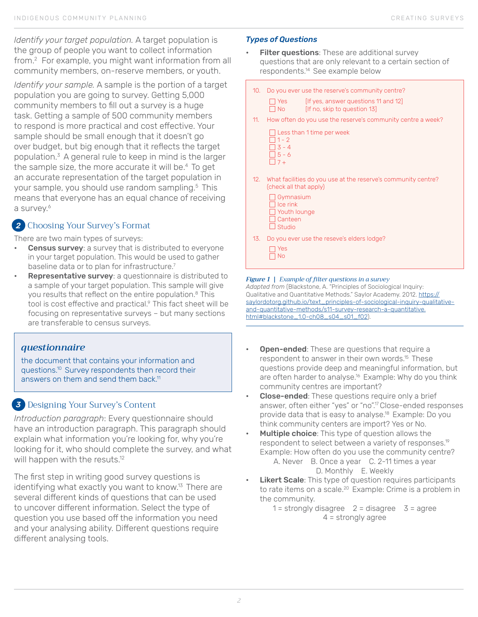*Identify your target population.* A target population is the group of people you want to collect information from.2 For example, you might want information from all community members, on-reserve members, or youth.

*Identify your sample.* A sample is the portion of a target population you are going to survey. Getting 5,000 community members to fill out a survey is a huge task. Getting a sample of 500 community members to respond is more practical and cost effective. Your sample should be small enough that it doesn't go over budget, but big enough that it reflects the target population.<sup>3</sup> A general rule to keep in mind is the larger the sample size, the more accurate it will be.<sup>4</sup> To get an accurate representation of the target population in your sample, you should use random sampling.<sup>5</sup> This means that everyone has an equal chance of receiving a survey.<sup>6</sup>

## Choosing Your Survey's Format *2*

There are two main types of surveys:

- Census survey: a survey that is distributed to everyone in your target population. This would be used to gather baseline data or to plan for infrastructure.<sup>7</sup>
- Representative survey: a questionnaire is distributed to a sample of your target population. This sample will give you results that reflect on the entire population.8 This tool is cost effective and practical.<sup>9</sup> This fact sheet will be focusing on representative surveys – but many sections are transferable to census surveys.

## *questionnaire*

the document that contains your information and questions.10 Survey respondents then record their answers on them and send them back.<sup>11</sup>

## *3* Designing Your Survey's Content

*Introduction paragraph*: Every questionnaire should have an introduction paragraph. This paragraph should explain what information you're looking for, why you're looking for it, who should complete the survey, and what will happen with the resuts.<sup>12</sup>

The first step in writing good survey questions is identifying what exactly you want to know.<sup>13</sup> There are several different kinds of questions that can be used to uncover different information. Select the type of question you use based off the information you need and your analysing ability. Different questions require different analysing tools.

### *Types of Questions*

- **Filter questions:** These are additional survey questions that are only relevant to a certain section of respondents.<sup>14</sup> See example below
	- 10. Do you ever use the reserve's community centre?
		- $\Box$  Yes [If yes, answer questions 11 and 12]
		- $\Box$  No [If no, skip to question 13]
	- 11. How often do you use the reserve's community centre a week?
		- Less than 1 time per week 1 - 2 3 - 4  $\Box$  5 - 6  $\Box$  7 +
- 12. What facilities do you use at the reserve's community centre? (check all that apply)
	- □ Gymnasium  $\Box$  Ice rink □ Youth lounge Canteen  $\Box$  Studio
- 13. Do you ever use the reseve's elders lodge?



#### *Figure 1 | Example of filter questions in a survey*

*Adapted from* (Blackstone, A. "Principles of Sociological Inquiry: Qualitative and Quantitative Methods." Saylor Academy. 2012. [https://](https://saylordotorg.github.io/text_principles-of-sociological-inquiry-qualitative-and-quantitative-methods/s11-survey-research-a-quantitative.html#blackstone_1.0-ch08_s04_s01_f02) [saylordotorg.github.io/text\\_principles-of-sociological-inquiry-qualitative](https://saylordotorg.github.io/text_principles-of-sociological-inquiry-qualitative-and-quantitative-methods/s11-survey-research-a-quantitative.html#blackstone_1.0-ch08_s04_s01_f02)[and-quantitative-methods/s11-survey-research-a-quantitative.](https://saylordotorg.github.io/text_principles-of-sociological-inquiry-qualitative-and-quantitative-methods/s11-survey-research-a-quantitative.html#blackstone_1.0-ch08_s04_s01_f02) [html#blackstone\\_1.0-ch08\\_s04\\_s01\\_f02\)](https://saylordotorg.github.io/text_principles-of-sociological-inquiry-qualitative-and-quantitative-methods/s11-survey-research-a-quantitative.html#blackstone_1.0-ch08_s04_s01_f02).

- **Open-ended:** These are questions that require a respondent to answer in their own words.15 These questions provide deep and meaningful information, but are often harder to analyse.<sup>16</sup> Example: Why do you think community centres are important?
- **Close-ended:** These questions require only a brief answer, often either "yes" or "no".17 Close-ended responses provide data that is easy to analyse.<sup>18</sup> Example: Do you think community centers are import? Yes or No.
- Multiple choice: This type of question allows the respondent to select between a variety of responses.<sup>19</sup> Example: How often do you use the community centre?

A. Never B. Once a year C. 2-11 times a year D. Monthly E. Weekly

**Likert Scale**: This type of question requires participants to rate items on a scale.<sup>20</sup> Example: Crime is a problem in the community.

> $1 =$  strongly disagree  $2 =$  disagree  $3 =$  agree 4 = strongly agree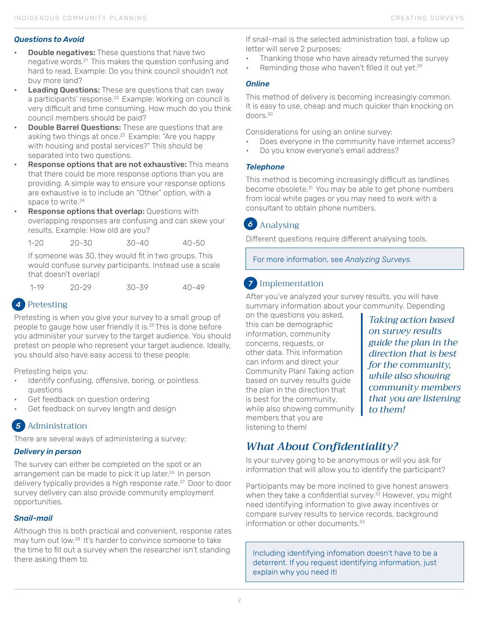#### *Questions to Avoid*

- **Double negatives:** These questions that have two negative words.21 This makes the question confusing and hard to read. Example: Do you think council shouldn't not buy more land?
- **Leading Questions:** These are questions that can sway a participants' response.<sup>22</sup> Example: Working on council is very difficult and time consuming. How much do you think council members should be paid?
- **Double Barrel Questions:** These are questions that are asking two things at once.<sup>23</sup> Example: "Are you happy with housing and postal services?" This should be separated into two questions.
- **Response options that are not exhaustive:** This means that there could be more response options than you are providing. A simple way to ensure your response options are exhaustive is to include an "Other" option, with a space to write.<sup>24</sup>
- **Response options that overlap: Questions with** overlapping responses are confusing and can skew your results. Example: How old are you?

1-20 20-30 30-40 40-50

If someone was 30, they would fit in two groups. This would confuse survey participants. Instead use a scale that doesn't overlap!

1-19 20-29 30-39 40-49

## Pretesting *4*

Pretesting is when you give your survey to a small group of people to gauge how user friendly it is.<sup>25</sup> This is done before you administer your survey to the target audience. You should pretest on people who represent your target audience. Ideally, you should also have easy access to these people.

Pretesting helps you:

- Identify confusing, offensive, boring, or pointless questions
- Get feedback on question ordering
- Get feedback on survey length and design

#### Administration *5*

There are several ways of administering a survey:

#### *Delivery in person*

The survey can either be completed on the spot or an arrangement can be made to pick it up later.<sup>26</sup> In person delivery typically provides a high response rate.<sup>27</sup> Door to door survey delivery can also provide community employment opportunities.

#### *Snail-mail*

Although this is both practical and convenient, response rates may turn out low.28 It's harder to convince someone to take the time to fill out a survey when the researcher isn't standing there asking them to.

If snail-mail is the selected administration tool, a follow up letter will serve 2 purposes:

- Thanking those who have already returned the survey
- Reminding those who haven't filled it out yet.<sup>29</sup>

#### *Online*

This method of delivery is becoming increasingly common. It is easy to use, cheap and much quicker than knocking on doors.<sup>30</sup>

Considerations for using an online survey:

- Does everyone in the community have internet access?
- Do you know everyone's email address?

#### *Telephone*

This method is becoming increasingly difficult as landlines become obsolete.<sup>31</sup> You may be able to get phone numbers from local white pages or you may need to work with a consultant to obtain phone numbers.

# Analysing *6*

Different questions require different analysing tools.

For more information, see *Analyzing Surveys.*

# Implementation *7*

After you've analyzed your survey results, you will have summary information about your community. Depending

on the questions you asked, this can be demographic information, community concerns, requests, or other data. This information can inform and direct your Community Plan! Taking action based on survey results guide the plan in the direction that is best for the community, while also showing community members that you are listening to them!

*Taking action based on survey results guide the plan in the direction that is best for the community, while also showing community members that you are listening to them!*

# *What About Confidentiality?*

Is your survey going to be anonymous or will you ask for information that will allow you to identify the participant?

Participants may be more inclined to give honest answers when they take a confidential survey. $32$  However, you might need identifying information to give away incentives or compare survey results to service records, background information or other documents  $33$ 

Including identifying infomation doesn't have to be a deterrent. If you request identifying information, just explain why you need it!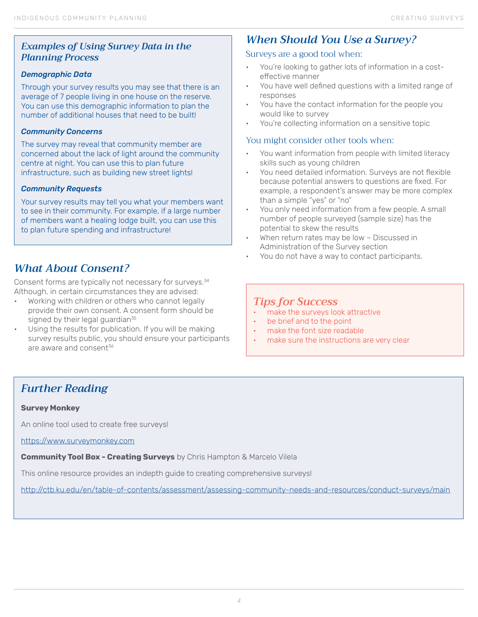## *Examples of Using Survey Data in the Planning Process*

#### *Demographic Data*

Through your survey results you may see that there is an average of 7 people living in one house on the reserve. You can use this demographic information to plan the number of additional houses that need to be built!

#### *Community Concerns*

The survey may reveal that community member are concerned about the lack of light around the community centre at night. You can use this to plan future infrastructure, such as building new street lights!

#### *Community Requests*

Your survey results may tell you what your members want to see in their community. For example, if a large number of members want a healing lodge built, you can use this to plan future spending and infrastructure!

## *What About Consent?*

Consent forms are typically not necessary for surveys.<sup>34</sup> Although, in certain circumstances they are advised:

- Working with children or others who cannot legally provide their own consent. A consent form should be signed by their legal guardian<sup>35</sup>
- Using the results for publication. If you will be making survey results public, you should ensure your participants are aware and consent<sup>36</sup>

# *When Should You Use a Survey?*

## Surveys are a good tool when:

- You're looking to gather lots of information in a costeffective manner
- You have well defined questions with a limited range of responses
- You have the contact information for the people you would like to survey
- You're collecting information on a sensitive topic

## You might consider other tools when:

- You want information from people with limited literacy skills such as young children
- You need detailed information. Surveys are not flexible because potential answers to questions are fixed. For example, a respondent's answer may be more complex than a simple "yes" or "no"
- You only need information from a few people. A small number of people surveyed (sample size) has the potential to skew the results
- When return rates may be low Discussed in Administration of the Survey section
- You do not have a way to contact participants.

## *Tips for Success*

- make the surveys look attractive
- be brief and to the point
- make the font size readable
- make sure the instructions are very clear

# *Further Reading*

#### **Survey Monkey**

An online tool used to create free surveys!

<https://www.surveymonkey.com>

**Community Tool Box - Creating Surveys** by Chris Hampton & Marcelo Vilela

This online resource provides an indepth guide to creating comprehensive surveys!

[http://ctb.ku.edu/en/table-of-contents/assessment/assessing-community-needs-and-resources/conduct-surveys/main](http://ctb.ku.edu/en/table-of-contents/assessment/assessing-community-needs-and-resources/conduct-su)